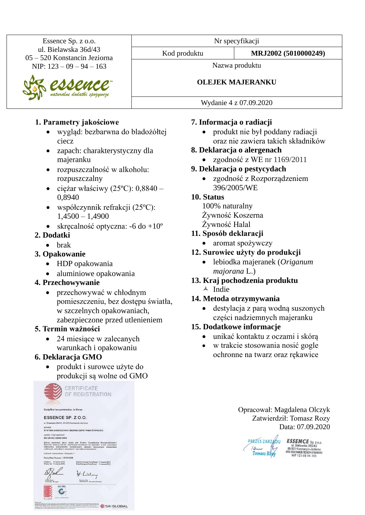Essence Sp. z o.o. ul. Bielawska 36d/43 05 – 520 Konstancin Jeziorna NIP: 123 – 09 – 94 – 163

naturalne dodatki spożywcze

### **1. Parametry jakościowe**

- wygląd: bezbarwna do bladożółtej ciecz
- zapach: charakterystyczny dla majeranku
- rozpuszczalność w alkoholu: rozpuszczalny
- ciężar właściwy (25 $^{\circ}$ C): 0,8840 0,8940
- współczynnik refrakcji (25ºC): 1,4500 – 1,4900
- skręcalność optyczna:  $-6$  do  $+10^{\circ}$

## **2. Dodatki**

• brak

## **3. Opakowanie**

- HDP opakowania
- aluminiowe opakowania

## **4. Przechowywanie**

• przechowywać w chłodnym pomieszczeniu, bez dostępu światła, w szczelnych opakowaniach, zabezpieczone przed utlenieniem

## **5. Termin ważności**

• 24 miesiące w zalecanych warunkach i opakowaniu

## **6. Deklaracja GMO**

• produkt i surowce użyte do produkcji są wolne od GMO



Nr specyfikacji

Nazwa produktu

## **OLEJEK MAJERANKU**

Wydanie 4 z 07.09.2020

# **7. Informacja o radiacji**

- produkt nie był poddany radiacji oraz nie zawiera takich składników
- **8. Deklaracja o alergenach**
	- zgodność z WE nr 1169/2011
- **9. Deklaracja o pestycydach**
	- zgodność z Rozporządzeniem 396/2005/WE

## **10. Status**

100% naturalny Żywność Koszerna Żywność Halal

- **11. Sposób deklaracji**
	- aromat spożywczy
- **12. Surowiec użyty do produkcji**
	- lebiodka majeranek (*Origanum majorana* L.)
- **13. Kraj pochodzenia produktu**  $\triangle$  Indie

## **14. Metoda otrzymywania**

• destylacja z parą wodną suszonych części nadziemnych majeranku

## **15. Dodatkowe informacje**

- unikać kontaktu z oczami i skórą
- w trakcie stosowania nosić gogle ochronne na twarz oraz rękawice

Opracował: Magdalena Olczyk Zatwierdził: Tomasz Rozy Data: 07.09.2020

**PREZES ZARZAOU ESSENCE** Sp. z o.o.<br>
(*Query* 1) 05-520 Konstation Jeziorna<br>
Tomasz Rozy KRS 000014638 REGON 015499960<br>
NIP 123.09.04.183

NIP 123-09-94-163

Kod produktu **MRJ2002 (5010000249)**

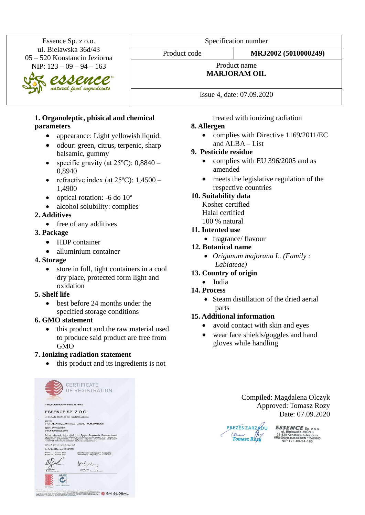Essence Sp. z o.o. ul. Bielawska 36d/43 05 – 520 Konstancin Jeziorna NIP: 123 – 09 – 94 – 163

natural food ingredients

 $\boldsymbol{\mathcal{D}}$ 

Specification number

Product code **MRJ2002 (5010000249)**

#### Product name **MARJORAM OIL**

Issue 4, date: 07.09.2020

#### **1. Organoleptic, phisical and chemical parameters**

- appearance: Light yellowish liquid.
- odour: green, citrus, terpenic, sharp balsamic, gummy
- specific gravity (at  $25^{\circ}$ C): 0,8840 0,8940
- refractive index (at  $25^{\circ}$ C):  $1,4500 -$ 1,4900
- optical rotation: -6 do 10<sup>°</sup>
- alcohol solubility: complies

### **2. Additives**

• free of any additives

### **3. Package**

- HDP container
- alluminium container
- **4. Storage**
	- store in full, tight containers in a cool dry place, protected form light and oxidation

### **5. Shelf life**

• best before 24 months under the specified storage conditions

### **6. GMO statement**

• this product and the raw material used to produce said product are free from GMO

### **7. Ionizing radiation statement**

• this product and its ingredients is not



treated with ionizing radiation

### **8. Allergen**

• complies with Directive 1169/2011/EC and ALBA – List

### **9. Pesticide residue**

- complies with EU 396/2005 and as amended
- meets the legislative regulation of the respective countries

### **10. Suitability data**

Kosher certified Halal certified 100 % natural

### **11. Intented use**

• fragrance/ flavour

### **12. Botanical name**

• *Origanum majorana L. (Family : Labiateae)*

### **13. Country of origin**

• India

### **14. Process**

• Steam distillation of the dried aerial parts

### **15. Additional information**

- avoid contact with skin and eyes
- wear face shields/goggles and hand gloves while handling

Compiled: Magdalena Olczyk Approved: Tomasz Rozy Date: 07.09.2020

PREZES ZARZADU aun<br>Fomasz Rozy

 $\textbf{ESSEMCE}$  Sp. z o.o.<br>ul. Bielawska 360/43<br>05-520 Konstancin-Jeziorna<br>KRS 0000164638 REGON 01549980<br>NIP 123-09-94-163